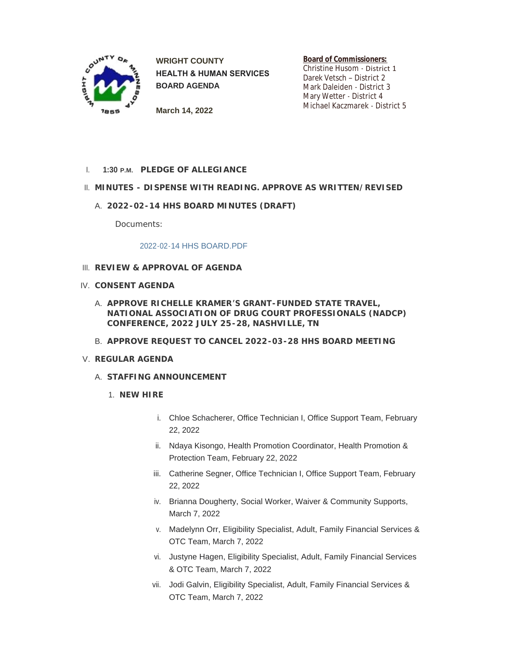

**WRIGHT COUNTY HEALTH & HUMAN SERVICES BOARD AGENDA**

**Board of Commissioners:** Christine Husom - District 1 Darek Vetsch – District 2 Mark Daleiden - District 3 Mary Wetter - District 4 Michael Kaczmarek - District 5

**March 14, 2022**

**PLEDGE OF ALLEGIANCE** I. **1:30 P.M.**

## **MINUTES - DISPENSE WITH READING. APPROVE AS WRITTEN/REVISED** II.

**2022-02-14 HHS BOARD MINUTES (DRAFT)** A.

Documents:

## [2022-02-14 HHS BOARD.PDF](https://www.co.wright.mn.us/AgendaCenter/ViewFile/Item/10450?fileID=22724)

- **REVIEW & APPROVAL OF AGENDA** III.
- **CONSENT AGENDA** IV.
	- **APPROVE RICHELLE KRAMER'S GRANT-FUNDED STATE TRAVEL,**  A. **NATIONAL ASSOCIATION OF DRUG COURT PROFESSIONALS (NADCP) CONFERENCE, 2022 JULY 25-28, NASHVILLE, TN**
	- **APPROVE REQUEST TO CANCEL 2022-03-28 HHS BOARD MEETING** B.
- **REGULAR AGENDA** V.
	- **STAFFING ANNOUNCEMENT** A.
		- **NEW HIRE** 1.
			- i. Chloe Schacherer, Office Technician I, Office Support Team, February 22, 2022
			- ii. Ndaya Kisongo, Health Promotion Coordinator, Health Promotion & Protection Team, February 22, 2022
			- iii. Catherine Segner, Office Technician I, Office Support Team, February 22, 2022
			- iv. Brianna Dougherty, Social Worker, Waiver & Community Supports, March 7, 2022
			- v. Madelynn Orr, Eligibility Specialist, Adult, Family Financial Services & OTC Team, March 7, 2022
			- vi. Justyne Hagen, Eligibility Specialist, Adult, Family Financial Services & OTC Team, March 7, 2022
			- vii. Jodi Galvin, Eligibility Specialist, Adult, Family Financial Services & OTC Team, March 7, 2022